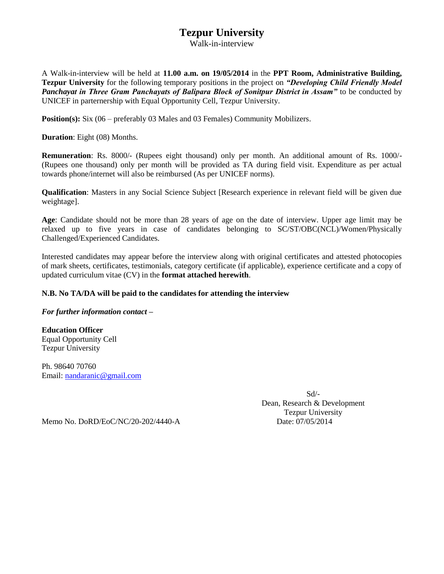## **Tezpur University**

Walk-in-interview

A Walk-in-interview will be held at **11.00 a.m. on 19/05/2014** in the **PPT Room, Administrative Building, Tezpur University** for the following temporary positions in the project on *"Developing Child Friendly Model Panchayat in Three Gram Panchayats of Balipara Block of Sonitpur District in Assam"* to be conducted by UNICEF in parternership with Equal Opportunity Cell, Tezpur University.

**Position(s):** Six (06 – preferably 03 Males and 03 Females) Community Mobilizers.

**Duration**: Eight (08) Months.

**Remuneration**: Rs. 8000/- (Rupees eight thousand) only per month. An additional amount of Rs. 1000/- (Rupees one thousand) only per month will be provided as TA during field visit. Expenditure as per actual towards phone/internet will also be reimbursed (As per UNICEF norms).

**Qualification**: Masters in any Social Science Subject [Research experience in relevant field will be given due weightage].

**Age**: Candidate should not be more than 28 years of age on the date of interview. Upper age limit may be relaxed up to five years in case of candidates belonging to SC/ST/OBC(NCL)/Women/Physically Challenged/Experienced Candidates.

Interested candidates may appear before the interview along with original certificates and attested photocopies of mark sheets, certificates, testimonials, category certificate (if applicable), experience certificate and a copy of updated curriculum vitae (CV) in the **format attached herewith**.

## **N.B. No TA/DA will be paid to the candidates for attending the interview**

*For further information contact –*

**Education Officer** Equal Opportunity Cell Tezpur University

Ph. 98640 70760 Email: [nandaranic@gmail.com](mailto:nandaranic@gmail.com)

> Sd/- Dean, Research & Development Tezpur University

Memo No. DoRD/EoC/NC/20-202/4440-A Date: 07/05/2014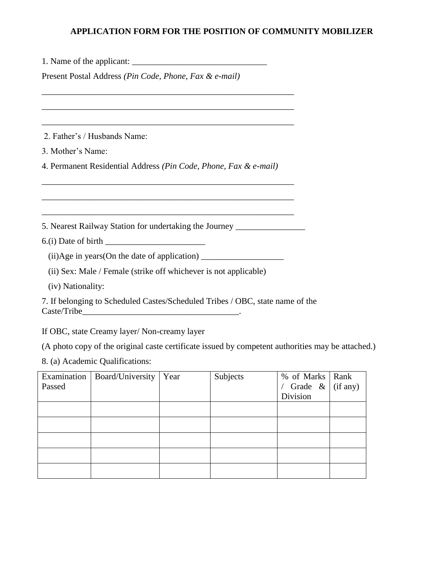## **APPLICATION FORM FOR THE POSITION OF COMMUNITY MOBILIZER**

| Present Postal Address (Pin Code, Phone, Fax & e-mail)                                            |  |  |  |  |
|---------------------------------------------------------------------------------------------------|--|--|--|--|
|                                                                                                   |  |  |  |  |
| 2. Father's / Husbands Name:                                                                      |  |  |  |  |
| 3. Mother's Name:                                                                                 |  |  |  |  |
| 4. Permanent Residential Address (Pin Code, Phone, Fax & e-mail)                                  |  |  |  |  |
| 5. Nearest Railway Station for undertaking the Journey _________________________                  |  |  |  |  |
|                                                                                                   |  |  |  |  |
| (ii)Age in years (On the date of application) ___________________________________                 |  |  |  |  |
| (ii) Sex: Male / Female (strike off whichever is not applicable)                                  |  |  |  |  |
| (iv) Nationality:                                                                                 |  |  |  |  |
| 7. If belonging to Scheduled Castes/Scheduled Tribes / OBC, state name of the                     |  |  |  |  |
| If OBC, state Creamy layer/Non-creamy layer                                                       |  |  |  |  |
| (A photo copy of the original caste certificate issued by competent authorities may be attached.) |  |  |  |  |
| 8. (a) Academic Qualifications:                                                                   |  |  |  |  |

| Passed | Examination   Board/University   Year | Subjects | % of Marks   Rank<br>/ Grade & $\int$ (if any)<br>Division |  |
|--------|---------------------------------------|----------|------------------------------------------------------------|--|
|        |                                       |          |                                                            |  |
|        |                                       |          |                                                            |  |
|        |                                       |          |                                                            |  |
|        |                                       |          |                                                            |  |
|        |                                       |          |                                                            |  |